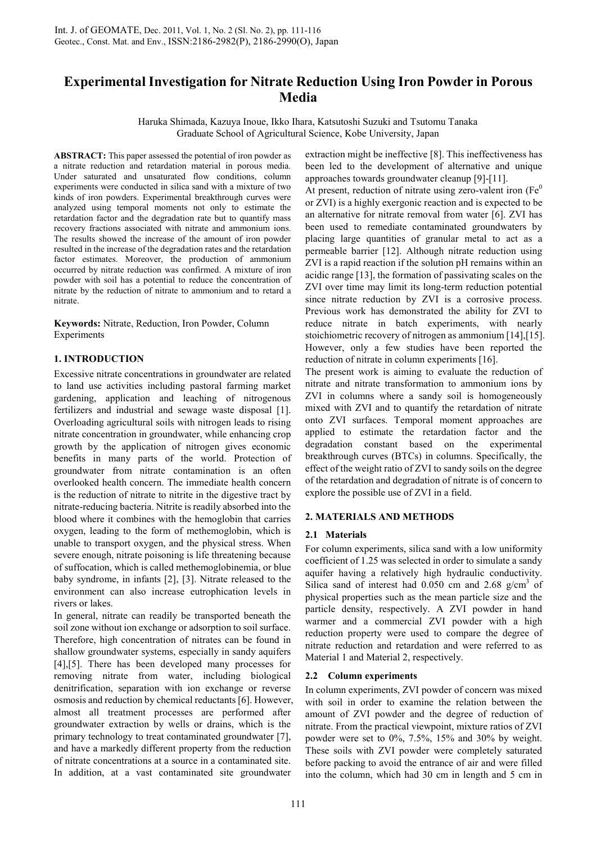# **Experimental Investigation for Nitrate Reduction Using Iron Powder in Porous Media**

Haruka Shimada, Kazuya Inoue, Ikko Ihara, Katsutoshi Suzuki and Tsutomu Tanaka Graduate School of Agricultural Science, Kobe University, Japan

**ABSTRACT:** This paper assessed the potential of iron powder as a nitrate reduction and retardation material in porous media. Under saturated and unsaturated flow conditions, column experiments were conducted in silica sand with a mixture of two kinds of iron powders. Experimental breakthrough curves were analyzed using temporal moments not only to estimate the retardation factor and the degradation rate but to quantify mass recovery fractions associated with nitrate and ammonium ions. The results showed the increase of the amount of iron powder resulted in the increase of the degradation rates and the retardation factor estimates. Moreover, the production of ammonium occurred by nitrate reduction was confirmed. A mixture of iron powder with soil has a potential to reduce the concentration of nitrate by the reduction of nitrate to ammonium and to retard a nitrate.

**Keywords:** Nitrate, Reduction, Iron Powder, Column Experiments

## **1. INTRODUCTION**

Excessive nitrate concentrations in groundwater are related to land use activities including pastoral farming market gardening, application and leaching of nitrogenous fertilizers and industrial and sewage waste disposal [1]. Overloading agricultural soils with nitrogen leads to rising nitrate concentration in groundwater, while enhancing crop growth by the application of nitrogen gives economic benefits in many parts of the world. Protection of groundwater from nitrate contamination is an often overlooked health concern. The immediate health concern is the reduction of nitrate to nitrite in the digestive tract by nitrate-reducing bacteria. Nitrite is readily absorbed into the blood where it combines with the hemoglobin that carries oxygen, leading to the form of methemoglobin, which is unable to transport oxygen, and the physical stress. When severe enough, nitrate poisoning is life threatening because of suffocation, which is called methemoglobinemia, or blue baby syndrome, in infants [2], [3]. Nitrate released to the environment can also increase eutrophication levels in rivers or lakes.

In general, nitrate can readily be transported beneath the soil zone without ion exchange or adsorption to soil surface. Therefore, high concentration of nitrates can be found in shallow groundwater systems, especially in sandy aquifers [4],[5]. There has been developed many processes for removing nitrate from water, including biological denitrification, separation with ion exchange or reverse osmosis and reduction by chemical reductants [6]. However, almost all treatment processes are performed after groundwater extraction by wells or drains, which is the primary technology to treat contaminated groundwater [7], and have a markedly different property from the reduction of nitrate concentrations at a source in a contaminated site. In addition, at a vast contaminated site groundwater

extraction might be ineffective [8]. This ineffectiveness has been led to the development of alternative and unique approaches towards groundwater cleanup [9]-[11].

At present, reduction of nitrate using zero-valent iron ( $Fe<sup>0</sup>$ or ZVI) is a highly exergonic reaction and is expected to be an alternative for nitrate removal from water [6]. ZVI has been used to remediate contaminated groundwaters by placing large quantities of granular metal to act as a permeable barrier [12]. Although nitrate reduction using ZVI is a rapid reaction if the solution pH remains within an acidic range [13], the formation of passivating scales on the ZVI over time may limit its long-term reduction potential since nitrate reduction by ZVI is a corrosive process. Previous work has demonstrated the ability for ZVI to reduce nitrate in batch experiments, with nearly stoichiometric recovery of nitrogen as ammonium [14],[15]. However, only a few studies have been reported the reduction of nitrate in column experiments [16].

The present work is aiming to evaluate the reduction of nitrate and nitrate transformation to ammonium ions by ZVI in columns where a sandy soil is homogeneously mixed with ZVI and to quantify the retardation of nitrate onto ZVI surfaces. Temporal moment approaches are applied to estimate the retardation factor and the degradation constant based on the experimental breakthrough curves (BTCs) in columns. Specifically, the effect of the weight ratio of ZVI to sandy soils on the degree of the retardation and degradation of nitrate is of concern to explore the possible use of ZVI in a field.

## **2. MATERIALS AND METHODS**

## **2.1 Materials**

For column experiments, silica sand with a low uniformity coefficient of 1.25 was selected in order to simulate a sandy aquifer having a relatively high hydraulic conductivity. Silica sand of interest had  $0.050$  cm and  $2.68$  g/cm<sup>3</sup> of physical properties such as the mean particle size and the particle density, respectively. A ZVI powder in hand warmer and a commercial ZVI powder with a high reduction property were used to compare the degree of nitrate reduction and retardation and were referred to as Material 1 and Material 2, respectively.

## **2.2 Column experiments**

In column experiments, ZVI powder of concern was mixed with soil in order to examine the relation between the amount of ZVI powder and the degree of reduction of nitrate. From the practical viewpoint, mixture ratios of ZVI powder were set to 0%, 7.5%, 15% and 30% by weight. These soils with ZVI powder were completely saturated before packing to avoid the entrance of air and were filled into the column, which had 30 cm in length and 5 cm in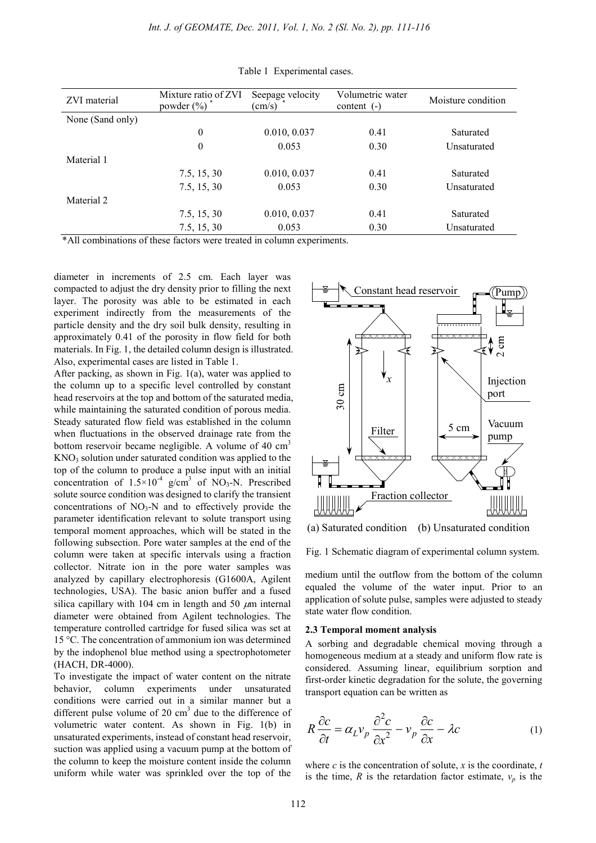| ZVI material     | Mixture ratio of ZVI<br>powder $(\% )$ | Seepage velocity<br>$\text{cm/s)}$ | Volumetric water<br>content $(-)$ | Moisture condition |  |
|------------------|----------------------------------------|------------------------------------|-----------------------------------|--------------------|--|
| None (Sand only) |                                        |                                    |                                   |                    |  |
|                  | $\boldsymbol{0}$                       | 0.010, 0.037                       | 0.41                              | Saturated          |  |
|                  | $\theta$                               | 0.053                              | 0.30                              | Unsaturated        |  |
| Material 1       |                                        |                                    |                                   |                    |  |
|                  | 7.5, 15, 30                            | 0.010, 0.037                       | 0.41                              | Saturated          |  |
|                  | 7.5, 15, 30                            | 0.053                              | 0.30                              | Unsaturated        |  |
| Material 2       |                                        |                                    |                                   |                    |  |
|                  | 7.5, 15, 30                            | 0.010, 0.037                       | 0.41                              | Saturated          |  |
|                  | 7.5, 15, 30                            | 0.053                              | 0.30                              | Unsaturated        |  |

Table 1 Experimental cases.

\*All combinations of these factors were treated in column experiments.

diameter in increments of 2.5 cm. Each layer was compacted to adjust the dry density prior to filling the next layer. The porosity was able to be estimated in each experiment indirectly from the measurements of the particle density and the dry soil bulk density, resulting in approximately 0.41 of the porosity in flow field for both materials. In Fig. 1, the detailed column design is illustrated. Also, experimental cases are listed in Table 1.

After packing, as shown in Fig. 1(a), water was applied to the column up to a specific level controlled by constant head reservoirs at the top and bottom of the saturated media, while maintaining the saturated condition of porous media. Steady saturated flow field was established in the column when fluctuations in the observed drainage rate from the bottom reservoir became negligible. A volume of  $40 \text{ cm}^3$  $KNO<sub>3</sub>$  solution under saturated condition was applied to the top of the column to produce a pulse input with an initial concentration of  $1.5 \times 10^{-4}$  g/cm<sup>3</sup> of NO<sub>3</sub>-N. Prescribed solute source condition was designed to clarify the transient concentrations of  $NO<sub>3</sub>-N$  and to effectively provide the parameter identification relevant to solute transport using temporal moment approaches, which will be stated in the following subsection. Pore water samples at the end of the column were taken at specific intervals using a fraction collector. Nitrate ion in the pore water samples was analyzed by capillary electrophoresis (G1600A, Agilent technologies, USA). The basic anion buffer and a fused silica capillary with 104 cm in length and 50  $\mu$ m internal diameter were obtained from Agilent technologies. The temperature controlled cartridge for fused silica was set at 15 °C. The concentration of ammonium ion was determined by the indophenol blue method using a spectrophotometer (HACH, DR-4000).

To investigate the impact of water content on the nitrate behavior, column experiments under unsaturated conditions were carried out in a similar manner but a different pulse volume of 20  $\text{cm}^3$  due to the difference of volumetric water content. As shown in Fig. 1(b) in unsaturated experiments, instead of constant head reservoir, suction was applied using a vacuum pump at the bottom of the column to keep the moisture content inside the column uniform while water was sprinkled over the top of the



(a) Saturated condition (b) Unsaturated condition

Fig. 1 Schematic diagram of experimental column system.

medium until the outflow from the bottom of the column equaled the volume of the water input. Prior to an application of solute pulse, samples were adjusted to steady state water flow condition.

### **2.3 Temporal moment analysis**

A sorbing and degradable chemical moving through a homogeneous medium at a steady and uniform flow rate is considered. Assuming linear, equilibrium sorption and first-order kinetic degradation for the solute, the governing transport equation can be written as

$$
R\frac{\partial c}{\partial t} = \alpha_L v_p \frac{\partial^2 c}{\partial x^2} - v_p \frac{\partial c}{\partial x} - \lambda c
$$
 (1)

where  $c$  is the concentration of solute,  $x$  is the coordinate,  $t$ is the time,  $R$  is the retardation factor estimate,  $v_p$  is the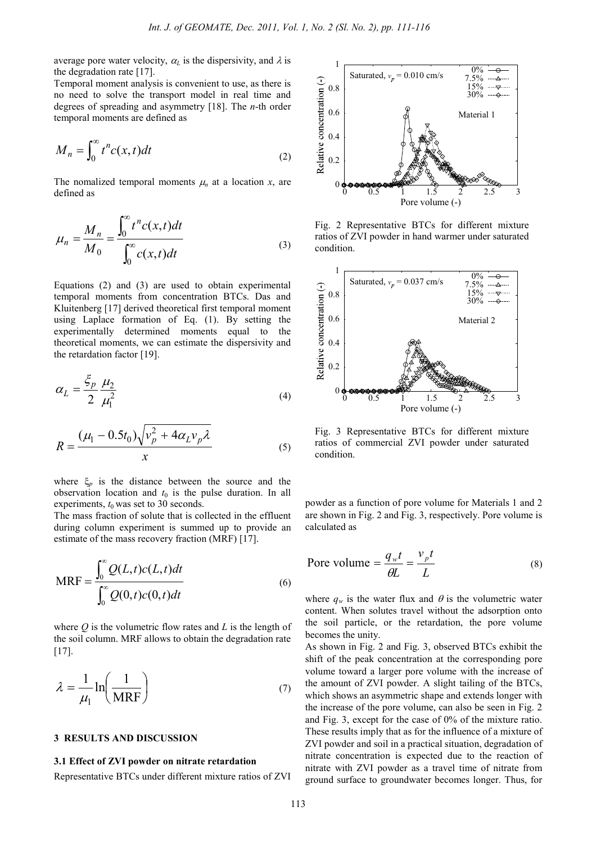average pore water velocity,  $\alpha_L$  is the dispersivity, and  $\lambda$  is the degradation rate [17].

Temporal moment analysis is convenient to use, as there is no need to solve the transport model in real time and degrees of spreading and asymmetry [18]. The *n*-th order temporal moments are defined as

$$
M_n = \int_0^\infty t^n c(x, t) dt
$$
 (2)

The nomalized temporal moments  $\mu_n$  at a location *x*, are defined as

$$
\mu_n = \frac{M_n}{M_0} = \frac{\int_0^\infty t^n c(x, t) dt}{\int_0^\infty c(x, t) dt}
$$
\n(3)

Equations (2) and (3) are used to obtain experimental temporal moments from concentration BTCs. Das and Kluitenberg [17] derived theoretical first temporal moment using Laplace formation of Eq. (1). By setting the experimentally determined moments equal to the theoretical moments, we can estimate the dispersivity and the retardation factor [19].

$$
\alpha_L = \frac{\xi_p}{2} \frac{\mu_2}{\mu_1^2} \tag{4}
$$

$$
R = \frac{(\mu_1 - 0.5t_0)\sqrt{v_p^2 + 4\alpha_L v_p \lambda}}{x}
$$
 (5)

where  $\xi_p$  is the distance between the source and the observation location and  $t_0$  is the pulse duration. In all experiments,  $t_0$  was set to 30 seconds.

The mass fraction of solute that is collected in the effluent during column experiment is summed up to provide an estimate of the mass recovery fraction (MRF) [17].

$$
MRF = \frac{\int_0^\infty Q(L,t)c(L,t)dt}{\int_0^\infty Q(0,t)c(0,t)dt}
$$
\n(6)

where *Q* is the volumetric flow rates and *L* is the length of the soil column. MRF allows to obtain the degradation rate [17].

$$
\lambda = \frac{1}{\mu_1} \ln \left( \frac{1}{MRF} \right) \tag{7}
$$

#### **3 RESULTS AND DISCUSSION**

## **3.1 Effect of ZVI powder on nitrate retardation**

Representative BTCs under different mixture ratios of ZVI



Fig. 2 Representative BTCs for different mixture ratios of ZVI powder in hand warmer under saturated condition.



Fig. 3 Representative BTCs for different mixture ratios of commercial ZVI powder under saturated condition.

powder as a function of pore volume for Materials 1 and 2 are shown in Fig. 2 and Fig. 3, respectively. Pore volume is calculated as

$$
\text{Pore volume} = \frac{q_w t}{\theta L} = \frac{v_p t}{L} \tag{8}
$$

where  $q_w$  is the water flux and  $\theta$  is the volumetric water content. When solutes travel without the adsorption onto the soil particle, or the retardation, the pore volume becomes the unity.

As shown in Fig. 2 and Fig. 3, observed BTCs exhibit the shift of the peak concentration at the corresponding pore volume toward a larger pore volume with the increase of the amount of ZVI powder. A slight tailing of the BTCs, which shows an asymmetric shape and extends longer with the increase of the pore volume, can also be seen in Fig. 2 and Fig. 3, except for the case of 0% of the mixture ratio. These results imply that as for the influence of a mixture of ZVI powder and soil in a practical situation, degradation of nitrate concentration is expected due to the reaction of nitrate with ZVI powder as a travel time of nitrate from ground surface to groundwater becomes longer. Thus, for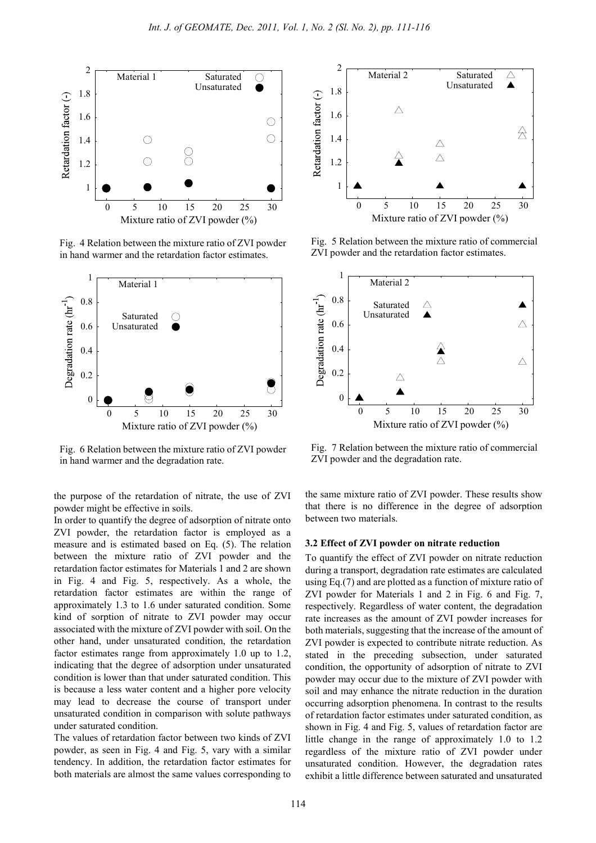

Fig. 4 Relation between the mixture ratio of ZVI powder in hand warmer and the retardation factor estimates.



Fig. 6 Relation between the mixture ratio of ZVI powder in hand warmer and the degradation rate.

the purpose of the retardation of nitrate, the use of ZVI powder might be effective in soils.

In order to quantify the degree of adsorption of nitrate onto ZVI powder, the retardation factor is employed as a measure and is estimated based on Eq. (5). The relation between the mixture ratio of ZVI powder and the retardation factor estimates for Materials 1 and 2 are shown in Fig. 4 and Fig. 5, respectively. As a whole, the retardation factor estimates are within the range of approximately 1.3 to 1.6 under saturated condition. Some kind of sorption of nitrate to ZVI powder may occur associated with the mixture of ZVI powder with soil. On the other hand, under unsaturated condition, the retardation factor estimates range from approximately 1.0 up to 1.2, indicating that the degree of adsorption under unsaturated condition is lower than that under saturated condition. This is because a less water content and a higher pore velocity may lead to decrease the course of transport under unsaturated condition in comparison with solute pathways under saturated condition.

The values of retardation factor between two kinds of ZVI powder, as seen in Fig. 4 and Fig. 5, vary with a similar tendency. In addition, the retardation factor estimates for both materials are almost the same values corresponding to



Fig. 5 Relation between the mixture ratio of commercial ZVI powder and the retardation factor estimates.



Fig. 7 Relation between the mixture ratio of commercial ZVI powder and the degradation rate.

the same mixture ratio of ZVI powder. These results show that there is no difference in the degree of adsorption between two materials.

### **3.2 Effect of ZVI powder on nitrate reduction**

To quantify the effect of ZVI powder on nitrate reduction during a transport, degradation rate estimates are calculated using Eq.(7) and are plotted as a function of mixture ratio of ZVI powder for Materials 1 and 2 in Fig. 6 and Fig. 7, respectively. Regardless of water content, the degradation rate increases as the amount of ZVI powder increases for both materials, suggesting that the increase of the amount of ZVI powder is expected to contribute nitrate reduction. As stated in the preceding subsection, under saturated condition, the opportunity of adsorption of nitrate to ZVI powder may occur due to the mixture of ZVI powder with soil and may enhance the nitrate reduction in the duration occurring adsorption phenomena. In contrast to the results of retardation factor estimates under saturated condition, as shown in Fig. 4 and Fig. 5, values of retardation factor are little change in the range of approximately 1.0 to 1.2 regardless of the mixture ratio of ZVI powder under unsaturated condition. However, the degradation rates exhibit a little difference between saturated and unsaturated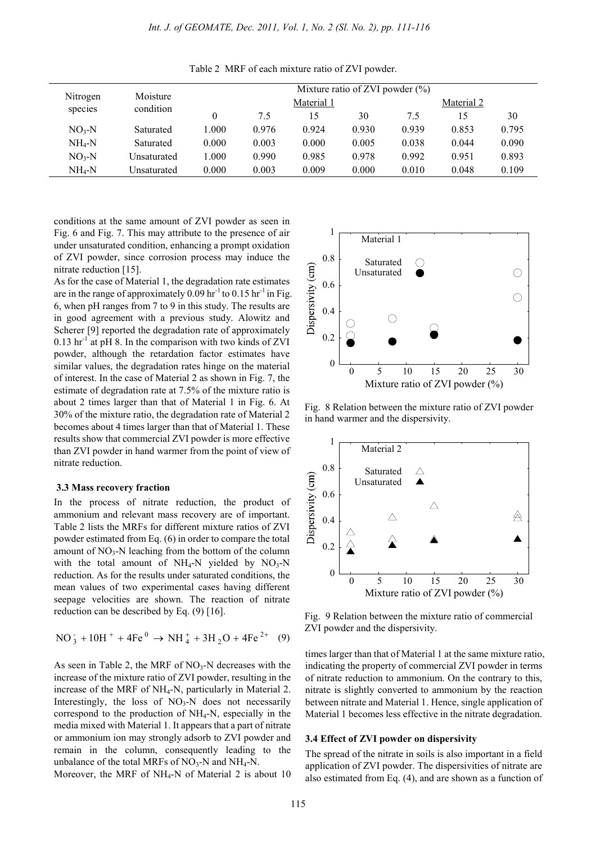| Nitrogen<br>species | Moisture<br>condition | Mixture ratio of ZVI powder $(\% )$ |            |       |       |            |       |       |
|---------------------|-----------------------|-------------------------------------|------------|-------|-------|------------|-------|-------|
|                     |                       |                                     | Material 1 |       |       | Material 2 |       |       |
|                     |                       |                                     | 7.5        | 15    | 30    | 7.5        | 15    | 30    |
| $NO3-N$             | Saturated             | 1.000                               | 0.976      | 0.924 | 0.930 | 0.939      | 0.853 | 0.795 |
| $NH_4-N$            | Saturated             | 0.000                               | 0.003      | 0.000 | 0.005 | 0.038      | 0.044 | 0.090 |
| $NO3-N$             | Unsaturated           | 1.000                               | 0.990      | 0.985 | 0.978 | 0.992      | 0.951 | 0.893 |
| $NH_4-N$            | Unsaturated           | 0.000                               | 0.003      | 0.009 | 0.000 | 0.010      | 0.048 | 0.109 |

Table 2 MRF of each mixture ratio of ZVI powder.

conditions at the same amount of ZVI powder as seen in Fig. 6 and Fig. 7. This may attribute to the presence of air under unsaturated condition, enhancing a prompt oxidation of ZVI powder, since corrosion process may induce the nitrate reduction [15].

As for the case of Material 1, the degradation rate estimates are in the range of approximately  $0.09$  hr<sup>-1</sup> to  $0.15$  hr<sup>-1</sup> in Fig. 6, when pH ranges from 7 to 9 in this study. The results are in good agreement with a previous study. Alowitz and Scherer [9] reported the degradation rate of approximately 0.13  $\text{hr}^{-1}$  at pH 8. In the comparison with two kinds of ZVI powder, although the retardation factor estimates have similar values, the degradation rates hinge on the material of interest. In the case of Material 2 as shown in Fig. 7, the estimate of degradation rate at 7.5% of the mixture ratio is about 2 times larger than that of Material 1 in Fig. 6. At 30% of the mixture ratio, the degradation rate of Material 2 becomes about 4 times larger than that of Material 1. These results show that commercial ZVI powder is more effective than ZVI powder in hand warmer from the point of view of nitrate reduction.

#### **3.3 Mass recovery fraction**

In the process of nitrate reduction, the product of ammonium and relevant mass recovery are of important. Table 2 lists the MRFs for different mixture ratios of ZVI powder estimated from Eq. (6) in order to compare the total amount of  $NO_3-N$  leaching from the bottom of the column with the total amount of  $NH_4-N$  yielded by  $NO_3-N$ reduction. As for the results under saturated conditions, the mean values of two experimental cases having different seepage velocities are shown. The reaction of nitrate reduction can be described by Eq. (9) [16].

$$
NO_3^- + 10H^+ + 4Fe^0 \rightarrow NH_4^+ + 3H_2O + 4Fe^{2+}
$$
 (9)

As seen in Table 2, the MRF of  $NO<sub>3</sub>-N$  decreases with the increase of the mixture ratio of ZVI powder, resulting in the increase of the MRF of  $NH<sub>4</sub>-N$ , particularly in Material 2. Interestingly, the loss of  $NO<sub>3</sub>-N$  does not necessarily correspond to the production of  $NH_4-N$ , especially in the media mixed with Material 1. It appears that a part of nitrate or ammonium ion may strongly adsorb to ZVI powder and remain in the column, consequently leading to the unbalance of the total MRFs of  $NO_3-N$  and  $NH_4-N$ .





Fig. 8 Relation between the mixture ratio of ZVI powder in hand warmer and the dispersivity.



Fig. 9 Relation between the mixture ratio of commercial ZVI powder and the dispersivity.

times larger than that of Material 1 at the same mixture ratio, indicating the property of commercial ZVI powder in terms of nitrate reduction to ammonium. On the contrary to this, nitrate is slightly converted to ammonium by the reaction between nitrate and Material 1. Hence, single application of Material 1 becomes less effective in the nitrate degradation.

## **3.4 Effect of ZVI powder on dispersivity**

The spread of the nitrate in soils is also important in a field application of ZVI powder. The dispersivities of nitrate are also estimated from Eq. (4), and are shown as a function of